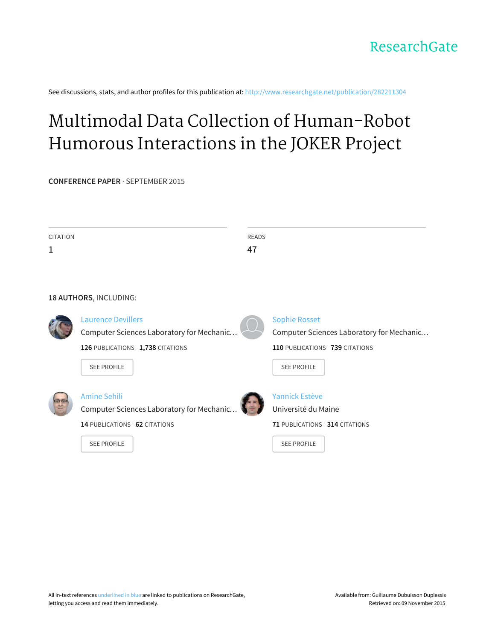See discussions, stats, and author profiles for this publication at: [http://www.researchgate.net/publication/282211304](http://www.researchgate.net/publication/282211304_Multimodal_Data_Collection_of_Human-Robot_Humorous_Interactions_in_the_JOKER_Project?enrichId=rgreq-98d1a0a8-ae77-4ca8-a6b0-01a4347bf9e7&enrichSource=Y292ZXJQYWdlOzI4MjIxMTMwNDtBUzoyNzg5NjUyNjE0ODgxMzJAMTQ0MzUyMTkwOTgxOQ%3D%3D&el=1_x_2)

# Multimodal Data Collection of [Human-Robot](http://www.researchgate.net/publication/282211304_Multimodal_Data_Collection_of_Human-Robot_Humorous_Interactions_in_the_JOKER_Project?enrichId=rgreq-98d1a0a8-ae77-4ca8-a6b0-01a4347bf9e7&enrichSource=Y292ZXJQYWdlOzI4MjIxMTMwNDtBUzoyNzg5NjUyNjE0ODgxMzJAMTQ0MzUyMTkwOTgxOQ%3D%3D&el=1_x_3) Humorous Interactions in the JOKER Project

**CONFERENCE PAPER** · SEPTEMBER 2015

| <b>CITATION</b> |                                           | <b>READS</b> |                                           |
|-----------------|-------------------------------------------|--------------|-------------------------------------------|
| $\mathbf 1$     |                                           | 47           |                                           |
|                 |                                           |              |                                           |
|                 |                                           |              |                                           |
|                 | 18 AUTHORS, INCLUDING:                    |              |                                           |
|                 |                                           |              |                                           |
|                 | <b>Laurence Devillers</b>                 |              | <b>Sophie Rosset</b>                      |
|                 | Computer Sciences Laboratory for Mechanic |              | Computer Sciences Laboratory for Mechanic |
|                 | 126 PUBLICATIONS 1,738 CITATIONS          |              | 110 PUBLICATIONS 739 CITATIONS            |
|                 | <b>SEE PROFILE</b>                        |              | <b>SEE PROFILE</b>                        |
|                 |                                           |              |                                           |
|                 | <b>Amine Sehili</b>                       |              | <b>Yannick Estève</b>                     |
|                 | Computer Sciences Laboratory for Mechanic |              | Université du Maine                       |
|                 | 14 PUBLICATIONS 62 CITATIONS              |              | 71 PUBLICATIONS 314 CITATIONS             |
|                 | <b>SEE PROFILE</b>                        |              | <b>SEE PROFILE</b>                        |
|                 |                                           |              |                                           |
|                 |                                           |              |                                           |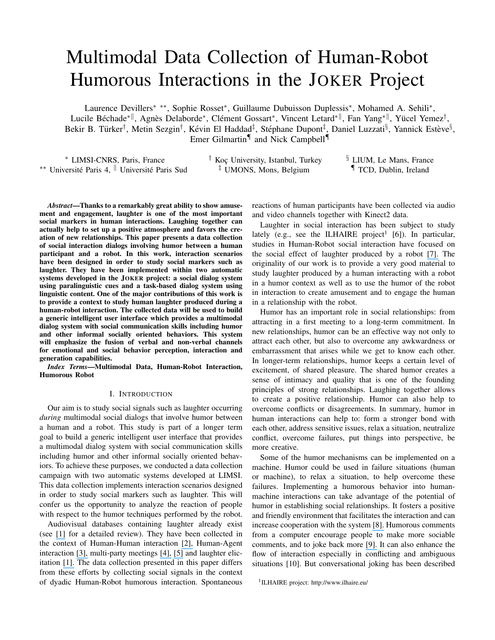## Multimodal Data Collection of Human-Robot Humorous Interactions in the JOKER Project

Laurence Devillers<sup>\*</sup> \*\*, Sophie Rosset<sup>\*</sup>, Guillaume Dubuisson Duplessis<sup>\*</sup>, Mohamed A. Sehili<sup>\*</sup>, Lucile Béchade\*<sup>||</sup>, Agnès Delaborde\*, Clément Gossart\*, Vincent Letard\*<sup>||</sup>, Fan Yang\*<sup>||</sup>, Yücel Yemez<sup>†</sup>, Bekir B. Türker<sup>†</sup>, Metin Sezgin<sup>†</sup>, Kévin El Haddad<sup>‡</sup>, Stéphane Dupont<sup>‡</sup>, Daniel Luzzati<sup>§</sup>, Yannick Estève<sup>§</sup>, Emer Gilmartin<sup>¶</sup> and Nick Campbell<sup>¶</sup>

| * LIMSI-CNRS, Paris, France                               | Koç University, Istanbul, Turkey  | <sup>3</sup> LIUM. Le Mans. France |
|-----------------------------------------------------------|-----------------------------------|------------------------------------|
| ** Université Paris 4, <sup>  </sup> Université Paris Sud | <sup>‡</sup> UMONS, Mons, Belgium | <sup>¶</sup> TCD, Dublin, Ireland  |

*Abstract*—Thanks to a remarkably great ability to show amusement and engagement, laughter is one of the most important social markers in human interactions. Laughing together can actually help to set up a positive atmosphere and favors the creation of new relationships. This paper presents a data collection of social interaction dialogs involving humor between a human participant and a robot. In this work, interaction scenarios have been designed in order to study social markers such as laughter. They have been implemented within two automatic systems developed in the JOKER project: a social dialog system using paralinguistic cues and a task-based dialog system using linguistic content. One of the major contributions of this work is to provide a context to study human laughter produced during a human-robot interaction. The collected data will be used to build a generic intelligent user interface which provides a multimodal dialog system with social communication skills including humor and other informal socially oriented behaviors. This system will emphasize the fusion of verbal and non-verbal channels for emotional and social behavior perception, interaction and generation capabilities.

*Index Terms*—Multimodal Data, Human-Robot Interaction, Humorous Robot

## I. INTRODUCTION

Our aim is to study social signals such as laughter occurring *during* multimodal social dialogs that involve humor between a human and a robot. This study is part of a longer term goal to build a generic intelligent user interface that provides a multimodal dialog system with social communication skills including humor and other informal socially oriented behaviors. To achieve these purposes, we conducted a data collection campaign with two automatic systems developed at LIMSI. This data collection implements interaction scenarios designed in order to study social markers such as laughter. This will confer us the opportunity to analyze the reaction of people with respect to the humor techniques performed by the robot.

Audiovisual databases containing laughter already exist (see [\[1\]](https://www.researchgate.net/publication/257093326_The_MAHNOB_Laughter_database?el=1_x_8&enrichId=rgreq-98d1a0a8-ae77-4ca8-a6b0-01a4347bf9e7&enrichSource=Y292ZXJQYWdlOzI4MjIxMTMwNDtBUzoyNzg5NjUyNjE0ODgxMzJAMTQ0MzUyMTkwOTgxOQ==) for a detailed review). They have been collected in the context of Human-Human interaction [\[2\],](https://www.researchgate.net/publication/222421400_Being_bored_Recognising_natural_interest_by_extensive_audiovisual_integration_for_real-life_application?el=1_x_8&enrichId=rgreq-98d1a0a8-ae77-4ca8-a6b0-01a4347bf9e7&enrichSource=Y292ZXJQYWdlOzI4MjIxMTMwNDtBUzoyNzg5NjUyNjE0ODgxMzJAMTQ0MzUyMTkwOTgxOQ==) Human-Agent interaction [\[3\],](https://www.researchgate.net/publication/224248863_The_SEMAINE_Database_Annotated_Multimodal_Records_of_Emotionally_Colored_Conversations_between_a_Person_and_a_Limited_Agent?el=1_x_8&enrichId=rgreq-98d1a0a8-ae77-4ca8-a6b0-01a4347bf9e7&enrichSource=Y292ZXJQYWdlOzI4MjIxMTMwNDtBUzoyNzg5NjUyNjE0ODgxMzJAMTQ0MzUyMTkwOTgxOQ==) multi-party meetings [\[4\],](https://www.researchgate.net/publication/37433407_The_AMI_Meeting_Corpus_a_Pre-Announcement?el=1_x_8&enrichId=rgreq-98d1a0a8-ae77-4ca8-a6b0-01a4347bf9e7&enrichSource=Y292ZXJQYWdlOzI4MjIxMTMwNDtBUzoyNzg5NjUyNjE0ODgxMzJAMTQ0MzUyMTkwOTgxOQ==) [\[5\]](https://www.researchgate.net/publication/225126709_Tools_and_Resources_for_Visualising_Conversational-Speech_Interaction?el=1_x_8&enrichId=rgreq-98d1a0a8-ae77-4ca8-a6b0-01a4347bf9e7&enrichSource=Y292ZXJQYWdlOzI4MjIxMTMwNDtBUzoyNzg5NjUyNjE0ODgxMzJAMTQ0MzUyMTkwOTgxOQ==) and laughter elicitation [\[1\].](https://www.researchgate.net/publication/257093326_The_MAHNOB_Laughter_database?el=1_x_8&enrichId=rgreq-98d1a0a8-ae77-4ca8-a6b0-01a4347bf9e7&enrichSource=Y292ZXJQYWdlOzI4MjIxMTMwNDtBUzoyNzg5NjUyNjE0ODgxMzJAMTQ0MzUyMTkwOTgxOQ==) The data collection presented in this paper differs from these efforts by collecting social signals in the context of dyadic Human-Robot humorous interaction. Spontaneous reactions of human participants have been collected via audio and video channels together with Kinect2 data.

Laughter in social interaction has been subject to study lately (e.g., see the ILHAIRE project<sup>1</sup> [6]). In particular, studies in Human-Robot social interaction have focused on the social effect of laughter produced by a robot [\[7\].](https://www.researchgate.net/publication/228699540_Laughter_in_Social_Roboticsno_laughing_matter?el=1_x_8&enrichId=rgreq-98d1a0a8-ae77-4ca8-a6b0-01a4347bf9e7&enrichSource=Y292ZXJQYWdlOzI4MjIxMTMwNDtBUzoyNzg5NjUyNjE0ODgxMzJAMTQ0MzUyMTkwOTgxOQ==) The originality of our work is to provide a very good material to study laughter produced by a human interacting with a robot in a humor context as well as to use the humor of the robot in interaction to create amusement and to engage the human in a relationship with the robot.

Humor has an important role in social relationships: from attracting in a first meeting to a long-term commitment. In new relationships, humor can be an effective way not only to attract each other, but also to overcome any awkwardness or embarrassment that arises while we get to know each other. In longer-term relationships, humor keeps a certain level of excitement, of shared pleasure. The shared humor creates a sense of intimacy and quality that is one of the founding principles of strong relationships. Laughing together allows to create a positive relationship. Humor can also help to overcome conflicts or disagreements. In summary, humor in human interactions can help to: form a stronger bond with each other, address sensitive issues, relax a situation, neutralize conflict, overcome failures, put things into perspective, be more creative.

Some of the humor mechanisms can be implemented on a machine. Humor could be used in failure situations (human or machine), to relax a situation, to help overcome these failures. Implementing a humorous behavior into humanmachine interactions can take advantage of the potential of humor in establishing social relationships. It fosters a positive and friendly environment that facilitates the interaction and can increase cooperation with the system [\[8\].](https://www.researchgate.net/publication/227555158_Conversational_Agents_and_the_Construction_of_Humorous_Acts?el=1_x_8&enrichId=rgreq-98d1a0a8-ae77-4ca8-a6b0-01a4347bf9e7&enrichSource=Y292ZXJQYWdlOzI4MjIxMTMwNDtBUzoyNzg5NjUyNjE0ODgxMzJAMTQ0MzUyMTkwOTgxOQ==) Humorous comments from a computer encourage people to make more sociable comments, and to joke back more [\[9\].](https://www.researchgate.net/publication/232282350_Effects_of_Humor_in_Task-Oriented_Human-Computer_Interaction_and_Computer-Mediated_Communication_A_Direct_Test_of_SRCT_Theory?el=1_x_8&enrichId=rgreq-98d1a0a8-ae77-4ca8-a6b0-01a4347bf9e7&enrichSource=Y292ZXJQYWdlOzI4MjIxMTMwNDtBUzoyNzg5NjUyNjE0ODgxMzJAMTQ0MzUyMTkwOTgxOQ==) It can also enhance the flow of interaction especially in conflicting and ambiguous situations [10]. But conversational joking has been described

1 ILHAIRE project: http://www.ilhaire.eu/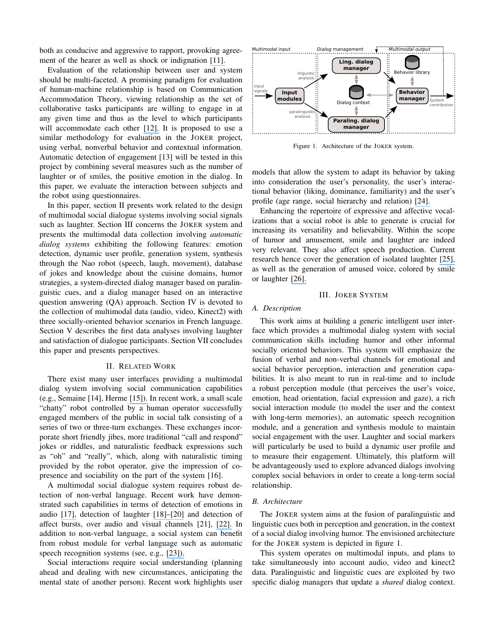both as conducive and aggressive to rapport, provoking agreement of the hearer as well as shock or indignation [\[11\].](https://www.researchgate.net/publication/222585327_Issues_in_Conversational_Joking?el=1_x_8&enrichId=rgreq-98d1a0a8-ae77-4ca8-a6b0-01a4347bf9e7&enrichSource=Y292ZXJQYWdlOzI4MjIxMTMwNDtBUzoyNzg5NjUyNjE0ODgxMzJAMTQ0MzUyMTkwOTgxOQ==)

Evaluation of the relationship between user and system should be multi-faceted. A promising paradigm for evaluation of human-machine relationship is based on Communication Accommodation Theory, viewing relationship as the set of collaborative tasks participants are willing to engage in at any given time and thus as the level to which participants will accommodate each other [\[12\].](https://www.researchgate.net/publication/262243520_Empirical_validation_of_an_accommodation_theory-based_model_of_user-agent_relationship?el=1_x_8&enrichId=rgreq-98d1a0a8-ae77-4ca8-a6b0-01a4347bf9e7&enrichSource=Y292ZXJQYWdlOzI4MjIxMTMwNDtBUzoyNzg5NjUyNjE0ODgxMzJAMTQ0MzUyMTkwOTgxOQ==) It is proposed to use a similar methodology for evaluation in the JOKER project, using verbal, nonverbal behavior and contextual information. Automatic detection of engagement [13] will be tested in this project by combining several measures such as the number of laughter or of smiles, the positive emotion in the dialog. In this paper, we evaluate the interaction between subjects and the robot using questionnaires.

In this paper, section II presents work related to the design of multimodal social dialogue systems involving social signals such as laughter. Section III concerns the JOKER system and presents the multimodal data collection involving *automatic dialog systems* exhibiting the following features: emotion detection, dynamic user profile, generation system, synthesis through the Nao robot (speech, laugh, movement), database of jokes and knowledge about the cuisine domains, humor strategies, a system-directed dialog manager based on paralinguistic cues, and a dialog manager based on an interactive question answering (QA) approach. Section IV is devoted to the collection of multimodal data (audio, video, Kinect2) with three socially-oriented behavior scenarios in French language. Section V describes the first data analyses involving laughter and satisfaction of dialogue participants. Section VII concludes this paper and presents perspectives.

#### II. RELATED WORK

There exist many user interfaces providing a multimodal dialog system involving social communication capabilities (e.g., Semaine [14], Herme [\[15\]\).](https://www.researchgate.net/publication/259624757_Herme_Yet_Another_Interactive_Conversational_Robot?el=1_x_8&enrichId=rgreq-98d1a0a8-ae77-4ca8-a6b0-01a4347bf9e7&enrichSource=Y292ZXJQYWdlOzI4MjIxMTMwNDtBUzoyNzg5NjUyNjE0ODgxMzJAMTQ0MzUyMTkwOTgxOQ==) In recent work, a small scale "chatty" robot controlled by a human operator successfully engaged members of the public in social talk consisting of a series of two or three-turn exchanges. These exchanges incorporate short friendly jibes, more traditional "call and respond" jokes or riddles, and naturalistic feedback expressions such as "oh" and "really", which, along with naturalistic timing provided by the robot operator, give the impression of copresence and sociability on the part of the system [16].

A multimodal social dialogue system requires robust detection of non-verbal language. Recent work have demonstrated such capabilities in terms of detection of emotions in audio [\[17\],](https://www.researchgate.net/publication/276118955_Inference_of_Human_Beings_Emotional_States_from_Speech_in_HumanRobot_Interactions?el=1_x_8&enrichId=rgreq-98d1a0a8-ae77-4ca8-a6b0-01a4347bf9e7&enrichSource=Y292ZXJQYWdlOzI4MjIxMTMwNDtBUzoyNzg5NjUyNjE0ODgxMzJAMTQ0MzUyMTkwOTgxOQ==) detection of laughter [\[18\]–\[20\]](https://www.researchgate.net/publication/221487656_Automatic_laughter_detection_using_neural_networks?el=1_x_8&enrichId=rgreq-98d1a0a8-ae77-4ca8-a6b0-01a4347bf9e7&enrichSource=Y292ZXJQYWdlOzI4MjIxMTMwNDtBUzoyNzg5NjUyNjE0ODgxMzJAMTQ0MzUyMTkwOTgxOQ==) and detection of affect bursts, over audio and visual channels [21], [\[22\].](https://www.researchgate.net/publication/269303273_Affect_burst_recognition_using_multi-modal_cues?el=1_x_8&enrichId=rgreq-98d1a0a8-ae77-4ca8-a6b0-01a4347bf9e7&enrichSource=Y292ZXJQYWdlOzI4MjIxMTMwNDtBUzoyNzg5NjUyNjE0ODgxMzJAMTQ0MzUyMTkwOTgxOQ==) In addition to non-verbal language, a social system can benefit from robust module for verbal language such as automatic speech recognition systems (see, e.g., [\[23\]\).](https://www.researchgate.net/publication/274192113_LIUM_and_CRIM_ASR_System_Combination_for_the_REPERE_Evaluation_Campaign?el=1_x_8&enrichId=rgreq-98d1a0a8-ae77-4ca8-a6b0-01a4347bf9e7&enrichSource=Y292ZXJQYWdlOzI4MjIxMTMwNDtBUzoyNzg5NjUyNjE0ODgxMzJAMTQ0MzUyMTkwOTgxOQ==)

Social interactions require social understanding (planning ahead and dealing with new circumstances, anticipating the mental state of another person). Recent work highlights user



Figure 1. Architecture of the JOKER system.

models that allow the system to adapt its behavior by taking into consideration the user's personality, the user's interactional behavior (liking, dominance, familiarity) and the user's profile (age range, social hierarchy and relation) [\[24\].](https://www.researchgate.net/publication/247925767_Use_of_nonverbal_speech_cues_in_social_interaction_between_human_and_robot_emotional_and_interactional_markers?el=1_x_8&enrichId=rgreq-98d1a0a8-ae77-4ca8-a6b0-01a4347bf9e7&enrichSource=Y292ZXJQYWdlOzI4MjIxMTMwNDtBUzoyNzg5NjUyNjE0ODgxMzJAMTQ0MzUyMTkwOTgxOQ==)

Enhancing the repertoire of expressive and affective vocalizations that a social robot is able to generate is crucial for increasing its versatility and believability. Within the scope of humor and amusement, smile and laughter are indeed very relevant. They also affect speech production. Current research hence cover the generation of isolated laughter [\[25\],](https://www.researchgate.net/publication/260789761_Arousal-Driven_Synthesis_of_Laughter?el=1_x_8&enrichId=rgreq-98d1a0a8-ae77-4ca8-a6b0-01a4347bf9e7&enrichSource=Y292ZXJQYWdlOzI4MjIxMTMwNDtBUzoyNzg5NjUyNjE0ODgxMzJAMTQ0MzUyMTkwOTgxOQ==) as well as the generation of amused voice, colored by smile or laughter [\[26\].](https://www.researchgate.net/publication/274314714_Speech-Laughs_an_HMM-based_Approach_for_Amused_Speech_Synthesis?el=1_x_8&enrichId=rgreq-98d1a0a8-ae77-4ca8-a6b0-01a4347bf9e7&enrichSource=Y292ZXJQYWdlOzI4MjIxMTMwNDtBUzoyNzg5NjUyNjE0ODgxMzJAMTQ0MzUyMTkwOTgxOQ==)

## III. JOKER SYSTEM

## *A. Description*

This work aims at building a generic intelligent user interface which provides a multimodal dialog system with social communication skills including humor and other informal socially oriented behaviors. This system will emphasize the fusion of verbal and non-verbal channels for emotional and social behavior perception, interaction and generation capabilities. It is also meant to run in real-time and to include a robust perception module (that perceives the user's voice, emotion, head orientation, facial expression and gaze), a rich social interaction module (to model the user and the context with long-term memories), an automatic speech recognition module, and a generation and synthesis module to maintain social engagement with the user. Laughter and social markers will particularly be used to build a dynamic user profile and to measure their engagement. Ultimately, this platform will be advantageously used to explore advanced dialogs involving complex social behaviors in order to create a long-term social relationship.

## *B. Architecture*

The JOKER system aims at the fusion of paralinguistic and linguistic cues both in perception and generation, in the context of a social dialog involving humor. The envisioned architecture for the JOKER system is depicted in figure 1.

This system operates on multimodal inputs, and plans to take simultaneously into account audio, video and kinect2 data. Paralinguistic and linguistic cues are exploited by two specific dialog managers that update a *shared* dialog context.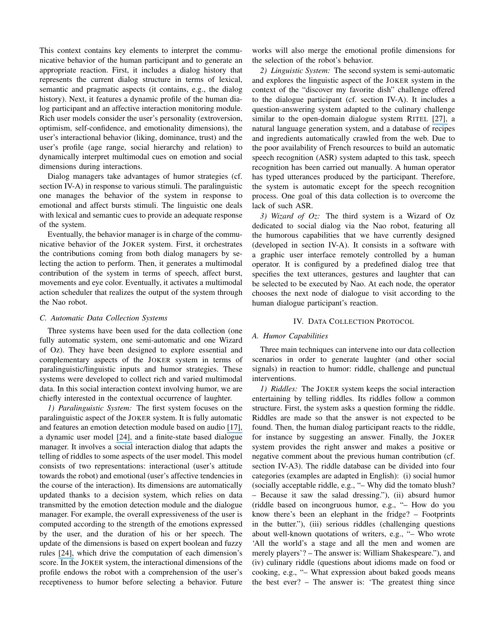This context contains key elements to interpret the communicative behavior of the human participant and to generate an appropriate reaction. First, it includes a dialog history that represents the current dialog structure in terms of lexical, semantic and pragmatic aspects (it contains, e.g., the dialog history). Next, it features a dynamic profile of the human dialog participant and an affective interaction monitoring module. Rich user models consider the user's personality (extroversion, optimism, self-confidence, and emotionality dimensions), the user's interactional behavior (liking, dominance, trust) and the user's profile (age range, social hierarchy and relation) to dynamically interpret multimodal cues on emotion and social dimensions during interactions.

Dialog managers take advantages of humor strategies (cf. section IV-A) in response to various stimuli. The paralinguistic one manages the behavior of the system in response to emotional and affect bursts stimuli. The linguistic one deals with lexical and semantic cues to provide an adequate response of the system.

Eventually, the behavior manager is in charge of the communicative behavior of the JOKER system. First, it orchestrates the contributions coming from both dialog managers by selecting the action to perform. Then, it generates a multimodal contribution of the system in terms of speech, affect burst, movements and eye color. Eventually, it activates a multimodal action scheduler that realizes the output of the system through the Nao robot.

## *C. Automatic Data Collection Systems*

Three systems have been used for the data collection (one fully automatic system, one semi-automatic and one Wizard of Oz). They have been designed to explore essential and complementary aspects of the JOKER system in terms of paralinguistic/linguistic inputs and humor strategies. These systems were developed to collect rich and varied multimodal data. In this social interaction context involving humor, we are chiefly interested in the contextual occurrence of laughter.

*1) Paralinguistic System:* The first system focuses on the paralinguistic aspect of the JOKER system. It is fully automatic and features an emotion detection module based on audio [\[17\],](https://www.researchgate.net/publication/276118955_Inference_of_Human_Beings_Emotional_States_from_Speech_in_HumanRobot_Interactions?el=1_x_8&enrichId=rgreq-98d1a0a8-ae77-4ca8-a6b0-01a4347bf9e7&enrichSource=Y292ZXJQYWdlOzI4MjIxMTMwNDtBUzoyNzg5NjUyNjE0ODgxMzJAMTQ0MzUyMTkwOTgxOQ==) a dynamic user model [\[24\],](https://www.researchgate.net/publication/247925767_Use_of_nonverbal_speech_cues_in_social_interaction_between_human_and_robot_emotional_and_interactional_markers?el=1_x_8&enrichId=rgreq-98d1a0a8-ae77-4ca8-a6b0-01a4347bf9e7&enrichSource=Y292ZXJQYWdlOzI4MjIxMTMwNDtBUzoyNzg5NjUyNjE0ODgxMzJAMTQ0MzUyMTkwOTgxOQ==) and a finite-state based dialogue manager. It involves a social interaction dialog that adapts the telling of riddles to some aspects of the user model. This model consists of two representations: interactional (user's attitude towards the robot) and emotional (user's affective tendencies in the course of the interaction). Its dimensions are automatically updated thanks to a decision system, which relies on data transmitted by the emotion detection module and the dialogue manager. For example, the overall expressiveness of the user is computed according to the strength of the emotions expressed by the user, and the duration of his or her speech. The update of the dimensions is based on expert boolean and fuzzy rules [\[24\],](https://www.researchgate.net/publication/247925767_Use_of_nonverbal_speech_cues_in_social_interaction_between_human_and_robot_emotional_and_interactional_markers?el=1_x_8&enrichId=rgreq-98d1a0a8-ae77-4ca8-a6b0-01a4347bf9e7&enrichSource=Y292ZXJQYWdlOzI4MjIxMTMwNDtBUzoyNzg5NjUyNjE0ODgxMzJAMTQ0MzUyMTkwOTgxOQ==) which drive the computation of each dimension's score. In the JOKER system, the interactional dimensions of the profile endows the robot with a comprehension of the user's receptiveness to humor before selecting a behavior. Future

works will also merge the emotional profile dimensions for the selection of the robot's behavior.

*2) Linguistic System:* The second system is semi-automatic and explores the linguistic aspect of the JOKER system in the context of the "discover my favorite dish" challenge offered to the dialogue participant (cf. section IV-A). It includes a question-answering system adapted to the culinary challenge similar to the open-domain dialogue system RITEL [\[27\],](https://www.researchgate.net/publication/221490518_Handling_speech_input_in_the_ritel_QA_dialogue_system?el=1_x_8&enrichId=rgreq-98d1a0a8-ae77-4ca8-a6b0-01a4347bf9e7&enrichSource=Y292ZXJQYWdlOzI4MjIxMTMwNDtBUzoyNzg5NjUyNjE0ODgxMzJAMTQ0MzUyMTkwOTgxOQ==) a natural language generation system, and a database of recipes and ingredients automatically crawled from the web. Due to the poor availability of French resources to build an automatic speech recognition (ASR) system adapted to this task, speech recognition has been carried out manually. A human operator has typed utterances produced by the participant. Therefore, the system is automatic except for the speech recognition process. One goal of this data collection is to overcome the lack of such ASR.

*3) Wizard of Oz:* The third system is a Wizard of Oz dedicated to social dialog via the Nao robot, featuring all the humorous capabilities that we have currently designed (developed in section IV-A). It consists in a software with a graphic user interface remotely controlled by a human operator. It is configured by a predefined dialog tree that specifies the text utterances, gestures and laughter that can be selected to be executed by Nao. At each node, the operator chooses the next node of dialogue to visit according to the human dialogue participant's reaction.

#### IV. DATA COLLECTION PROTOCOL

## *A. Humor Capabilities*

Three main techniques can intervene into our data collection scenarios in order to generate laughter (and other social signals) in reaction to humor: riddle, challenge and punctual interventions.

*1) Riddles:* The JOKER system keeps the social interaction entertaining by telling riddles. Its riddles follow a common structure. First, the system asks a question forming the riddle. Riddles are made so that the answer is not expected to be found. Then, the human dialog participant reacts to the riddle, for instance by suggesting an answer. Finally, the JOKER system provides the right answer and makes a positive or negative comment about the previous human contribution (cf. section IV-A3). The riddle database can be divided into four categories (examples are adapted in English): (i) social humor (socially acceptable riddle, e.g., "– Why did the tomato blush? – Because it saw the salad dressing."), (ii) absurd humor (riddle based on incongruous humor, e.g., "– How do you know there's been an elephant in the fridge? – Footprints in the butter."), (iii) serious riddles (challenging questions about well-known quotations of writers, e.g., "– Who wrote 'All the world's a stage and all the men and women are merely players'? – The answer is: William Shakespeare."), and (iv) culinary riddle (questions about idioms made on food or cooking, e.g., "– What expression about baked goods means the best ever? – The answer is: 'The greatest thing since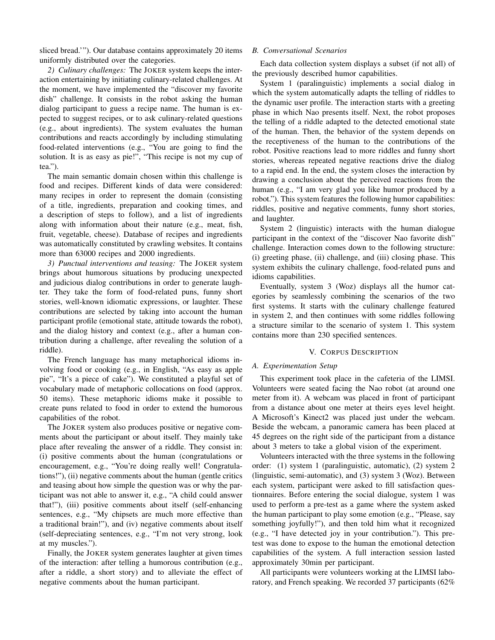sliced bread.'"). Our database contains approximately 20 items uniformly distributed over the categories.

*2) Culinary challenges:* The JOKER system keeps the interaction entertaining by initiating culinary-related challenges. At the moment, we have implemented the "discover my favorite dish" challenge. It consists in the robot asking the human dialog participant to guess a recipe name. The human is expected to suggest recipes, or to ask culinary-related questions (e.g., about ingredients). The system evaluates the human contributions and reacts accordingly by including stimulating food-related interventions (e.g., "You are going to find the solution. It is as easy as pie!", "This recipe is not my cup of tea.").

The main semantic domain chosen within this challenge is food and recipes. Different kinds of data were considered: many recipes in order to represent the domain (consisting of a title, ingredients, preparation and cooking times, and a description of steps to follow), and a list of ingredients along with information about their nature (e.g., meat, fish, fruit, vegetable, cheese). Database of recipes and ingredients was automatically constituted by crawling websites. It contains more than 63000 recipes and 2000 ingredients.

*3) Punctual interventions and teasing:* The JOKER system brings about humorous situations by producing unexpected and judicious dialog contributions in order to generate laughter. They take the form of food-related puns, funny short stories, well-known idiomatic expressions, or laughter. These contributions are selected by taking into account the human participant profile (emotional state, attitude towards the robot), and the dialog history and context (e.g., after a human contribution during a challenge, after revealing the solution of a riddle).

The French language has many metaphorical idioms involving food or cooking (e.g., in English, "As easy as apple pie", "It's a piece of cake"). We constituted a playful set of vocabulary made of metaphoric collocations on food (approx. 50 items). These metaphoric idioms make it possible to create puns related to food in order to extend the humorous capabilities of the robot.

The JOKER system also produces positive or negative comments about the participant or about itself. They mainly take place after revealing the answer of a riddle. They consist in: (i) positive comments about the human (congratulations or encouragement, e.g., "You're doing really well! Congratulations!"), (ii) negative comments about the human (gentle critics and teasing about how simple the question was or why the participant was not able to answer it, e.g., "A child could answer that!"), (iii) positive comments about itself (self-enhancing sentences, e.g., "My chipsets are much more effective than a traditional brain!"), and (iv) negative comments about itself (self-depreciating sentences, e.g., "I'm not very strong, look at my muscles.").

Finally, the JOKER system generates laughter at given times of the interaction: after telling a humorous contribution (e.g., after a riddle, a short story) and to alleviate the effect of negative comments about the human participant.

## *B. Conversational Scenarios*

Each data collection system displays a subset (if not all) of the previously described humor capabilities.

System 1 (paralinguistic) implements a social dialog in which the system automatically adapts the telling of riddles to the dynamic user profile. The interaction starts with a greeting phase in which Nao presents itself. Next, the robot proposes the telling of a riddle adapted to the detected emotional state of the human. Then, the behavior of the system depends on the receptiveness of the human to the contributions of the robot. Positive reactions lead to more riddles and funny short stories, whereas repeated negative reactions drive the dialog to a rapid end. In the end, the system closes the interaction by drawing a conclusion about the perceived reactions from the human (e.g., "I am very glad you like humor produced by a robot."). This system features the following humor capabilities: riddles, positive and negative comments, funny short stories, and laughter.

System 2 (linguistic) interacts with the human dialogue participant in the context of the "discover Nao favorite dish" challenge. Interaction comes down to the following structure: (i) greeting phase, (ii) challenge, and (iii) closing phase. This system exhibits the culinary challenge, food-related puns and idioms capabilities.

Eventually, system 3 (Woz) displays all the humor categories by seamlessly combining the scenarios of the two first systems. It starts with the culinary challenge featured in system 2, and then continues with some riddles following a structure similar to the scenario of system 1. This system contains more than 230 specified sentences.

## V. CORPUS DESCRIPTION

## *A. Experimentation Setup*

This experiment took place in the cafeteria of the LIMSI. Volunteers were seated facing the Nao robot (at around one meter from it). A webcam was placed in front of participant from a distance about one meter at theirs eyes level height. A Microsoft's Kinect2 was placed just under the webcam. Beside the webcam, a panoramic camera has been placed at 45 degrees on the right side of the participant from a distance about 3 meters to take a global vision of the experiment.

Volunteers interacted with the three systems in the following order: (1) system 1 (paralinguistic, automatic), (2) system 2 (linguistic, semi-automatic), and (3) system 3 (Woz). Between each system, participant were asked to fill satisfaction questionnaires. Before entering the social dialogue, system 1 was used to perform a pre-test as a game where the system asked the human participant to play some emotion (e.g., "Please, say something joyfully!"), and then told him what it recognized (e.g., "I have detected joy in your contribution."). This pretest was done to expose to the human the emotional detection capabilities of the system. A full interaction session lasted approximately 30min per participant.

All participants were volunteers working at the LIMSI laboratory, and French speaking. We recorded 37 participants (62%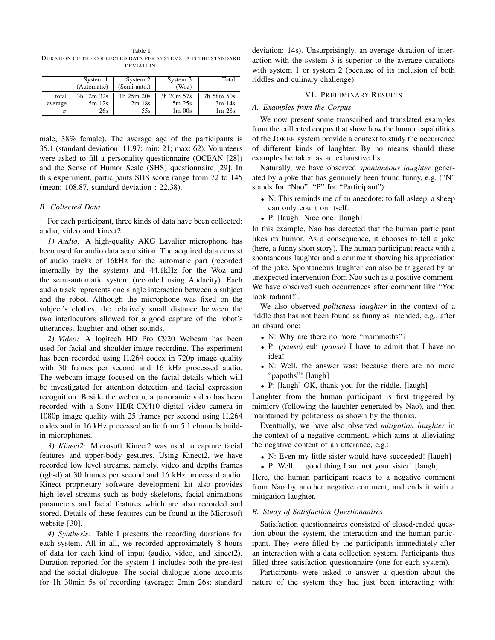Table I DURATION OF THE COLLECTED DATA PER SYSTEMS.  $\sigma$  is the standard DEVIATION.

|          | System 1<br>(Automatic) | System 2         | System 3   | Total      |
|----------|-------------------------|------------------|------------|------------|
|          |                         | (Semi-auto.)     | (Woz)      |            |
| total    | 3h 12m 32s              | $1h$ $25m$ $20s$ | 3h 20m 57s | 7h 58m 50s |
| average  | $5m$ 12s                | $2m$ 18s         | 5m25s      | $3m$ 14s   |
| $\sigma$ | 26s                     | 55s              | $1m$ 00s   | $1m$ 28s   |

male, 38% female). The average age of the participants is 35.1 (standard deviation: 11.97; min: 21; max: 62). Volunteers were asked to fill a personality questionnaire (OCEAN [28]) and the Sense of Humor Scale (SHS) questionnaire [29]. In this experiment, participants SHS score range from 72 to 145 (mean: 108.87, standard deviation : 22.38).

## *B. Collected Data*

For each participant, three kinds of data have been collected: audio, video and kinect2.

*1) Audio:* A high-quality AKG Lavalier microphone has been used for audio data acquisition. The acquired data consist of audio tracks of 16kHz for the automatic part (recorded internally by the system) and 44.1kHz for the Woz and the semi-automatic system (recorded using Audacity). Each audio track represents one single interaction between a subject and the robot. Although the microphone was fixed on the subject's clothes, the relatively small distance between the two interlocutors allowed for a good capture of the robot's utterances, laughter and other sounds.

*2) Video:* A logitech HD Pro C920 Webcam has been used for facial and shoulder image recording. The experiment has been recorded using H.264 codex in 720p image quality with 30 frames per second and 16 kHz processed audio. The webcam image focused on the facial details which will be investigated for attention detection and facial expression recognition. Beside the webcam, a panoramic video has been recorded with a Sony HDR-CX410 digital video camera in 1080p image quality with 25 frames per second using H.264 codex and in 16 kHz processed audio from 5.1 channels buildin microphones.

*3) Kinect2:* Microsoft Kinect2 was used to capture facial features and upper-body gestures. Using Kinect2, we have recorded low level streams, namely, video and depths frames (rgb-d) at 30 frames per second and 16 kHz processed audio. Kinect proprietary software development kit also provides high level streams such as body skeletons, facial animations parameters and facial features which are also recorded and stored. Details of these features can be found at the Microsoft website [30].

*4) Synthesis:* Table I presents the recording durations for each system. All in all, we recorded approximately 8 hours of data for each kind of input (audio, video, and kinect2). Duration reported for the system 1 includes both the pre-test and the social dialogue. The social dialogue alone accounts for 1h 30min 5s of recording (average: 2min 26s; standard

deviation: 14s). Unsurprisingly, an average duration of interaction with the system 3 is superior to the average durations with system 1 or system 2 (because of its inclusion of both riddles and culinary challenge).

## VI. PRELIMINARY RESULTS

## *A. Examples from the Corpus*

We now present some transcribed and translated examples from the collected corpus that show how the humor capabilities of the JOKER system provide a context to study the occurrence of different kinds of laughter. By no means should these examples be taken as an exhaustive list.

Naturally, we have observed *spontaneous laughter* generated by a joke that has genuinely been found funny, e.g. ("N" stands for "Nao", "P" for "Participant"):

- N: This reminds me of an anecdote: to fall asleep, a sheep can only count on itself.
- P: [laugh] Nice one! [laugh]

In this example, Nao has detected that the human participant likes its humor. As a consequence, it chooses to tell a joke (here, a funny short story). The human participant reacts with a spontaneous laughter and a comment showing his appreciation of the joke. Spontaneous laughter can also be triggered by an unexpected intervention from Nao such as a positive comment. We have observed such occurrences after comment like "You look radiant!".

We also observed *politeness laughter* in the context of a riddle that has not been found as funny as intended, e.g., after an absurd one:

- N: Why are there no more "mammoths"?
- P: *(pause)* euh *(pause)* I have to admit that I have no idea!
- N: Well, the answer was: because there are no more "papoths"! [laugh]
- P: [laugh] OK, thank you for the riddle. [laugh]

Laughter from the human participant is first triggered by mimicry (following the laughter generated by Nao), and then maintained by politeness as shown by the thanks.

Eventually, we have also observed *mitigation laughter* in the context of a negative comment, which aims at alleviating the negative content of an utterance, e.g.:

- N: Even my little sister would have succeeded! [laugh]
- P: Well... good thing I am not your sister! [laugh]

Here, the human participant reacts to a negative comment from Nao by another negative comment, and ends it with a mitigation laughter.

## *B. Study of Satisfaction Questionnaires*

Satisfaction questionnaires consisted of closed-ended question about the system, the interaction and the human participant. They were filled by the participants immediately after an interaction with a data collection system. Participants thus filled three satisfaction questionnaire (one for each system).

Participants were asked to answer a question about the nature of the system they had just been interacting with: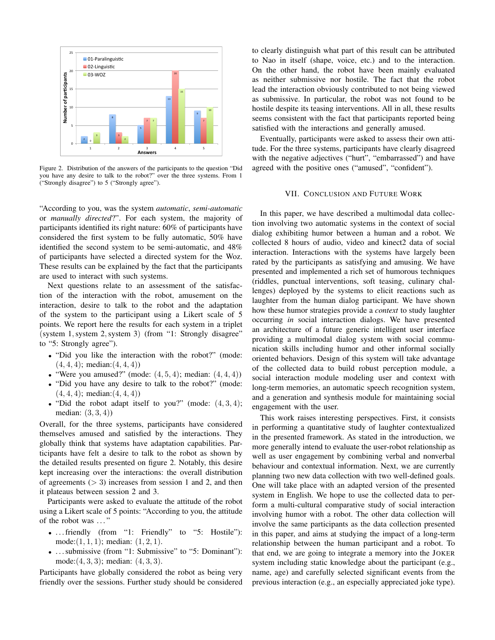

Figure 2. Distribution of the answers of the participants to the question "Did you have any desire to talk to the robot?" over the three systems. From 1 ("Strongly disagree") to 5 ("Strongly agree").

"According to you, was the system *automatic*, *semi-automatic* or *manually directed*?". For each system, the majority of participants identified its right nature: 60% of participants have considered the first system to be fully automatic, 50% have identified the second system to be semi-automatic, and 48% of participants have selected a directed system for the Woz. These results can be explained by the fact that the participants are used to interact with such systems.

Next questions relate to an assessment of the satisfaction of the interaction with the robot, amusement on the interaction, desire to talk to the robot and the adaptation of the system to the participant using a Likert scale of 5 points. We report here the results for each system in a triplet (system 1,system 2,system 3) (from "1: Strongly disagree" to "5: Strongly agree").

- "Did you like the interaction with the robot?" (mode:  $(4, 4, 4)$ ; median: $(4, 4, 4)$ )
- "Were you amused?" (mode:  $(4, 5, 4)$ ; median:  $(4, 4, 4)$ )
- "Did you have any desire to talk to the robot?" (mode:  $(4, 4, 4)$ ; median: $(4, 4, 4)$ )
- "Did the robot adapt itself to you?" (mode:  $(4,3,4)$ ; median:  $(3, 3, 4)$ )

Overall, for the three systems, participants have considered themselves amused and satisfied by the interactions. They globally think that systems have adaptation capabilities. Participants have felt a desire to talk to the robot as shown by the detailed results presented on figure 2. Notably, this desire kept increasing over the interactions: the overall distribution of agreements  $(> 3)$  increases from session 1 and 2, and then it plateaus between session 2 and 3.

Participants were asked to evaluate the attitude of the robot using a Likert scale of 5 points: "According to you, the attitude of the robot was . . . "

- ... friendly (from "1: Friendly" to "5: Hostile"): mode: $(1, 1, 1)$ ; median:  $(1, 2, 1)$ .
- ... submissive (from "1: Submissive" to "5: Dominant"): mode: $(4, 3, 3)$ ; median:  $(4, 3, 3)$ .

Participants have globally considered the robot as being very friendly over the sessions. Further study should be considered to clearly distinguish what part of this result can be attributed to Nao in itself (shape, voice, etc.) and to the interaction. On the other hand, the robot have been mainly evaluated as neither submissive nor hostile. The fact that the robot lead the interaction obviously contributed to not being viewed as submissive. In particular, the robot was not found to be hostile despite its teasing interventions. All in all, these results seems consistent with the fact that participants reported being satisfied with the interactions and generally amused.

Eventually, participants were asked to assess their own attitude. For the three systems, participants have clearly disagreed with the negative adjectives ("hurt", "embarrassed") and have agreed with the positive ones ("amused", "confident").

#### VII. CONCLUSION AND FUTURE WORK

In this paper, we have described a multimodal data collection involving two automatic systems in the context of social dialog exhibiting humor between a human and a robot. We collected 8 hours of audio, video and kinect2 data of social interaction. Interactions with the systems have largely been rated by the participants as satisfying and amusing. We have presented and implemented a rich set of humorous techniques (riddles, punctual interventions, soft teasing, culinary challenges) deployed by the systems to elicit reactions such as laughter from the human dialog participant. We have shown how these humor strategies provide a *context* to study laughter occurring *in* social interaction dialogs. We have presented an architecture of a future generic intelligent user interface providing a multimodal dialog system with social communication skills including humor and other informal socially oriented behaviors. Design of this system will take advantage of the collected data to build robust perception module, a social interaction module modeling user and context with long-term memories, an automatic speech recognition system, and a generation and synthesis module for maintaining social engagement with the user.

This work raises interesting perspectives. First, it consists in performing a quantitative study of laughter contextualized in the presented framework. As stated in the introduction, we more generally intend to evaluate the user-robot relationship as well as user engagement by combining verbal and nonverbal behaviour and contextual information. Next, we are currently planning two new data collection with two well-defined goals. One will take place with an adapted version of the presented system in English. We hope to use the collected data to perform a multi-cultural comparative study of social interaction involving humor with a robot. The other data collection will involve the same participants as the data collection presented in this paper, and aims at studying the impact of a long-term relationship between the human participant and a robot. To that end, we are going to integrate a memory into the JOKER system including static knowledge about the participant (e.g., name, age) and carefully selected significant events from the previous interaction (e.g., an especially appreciated joke type).